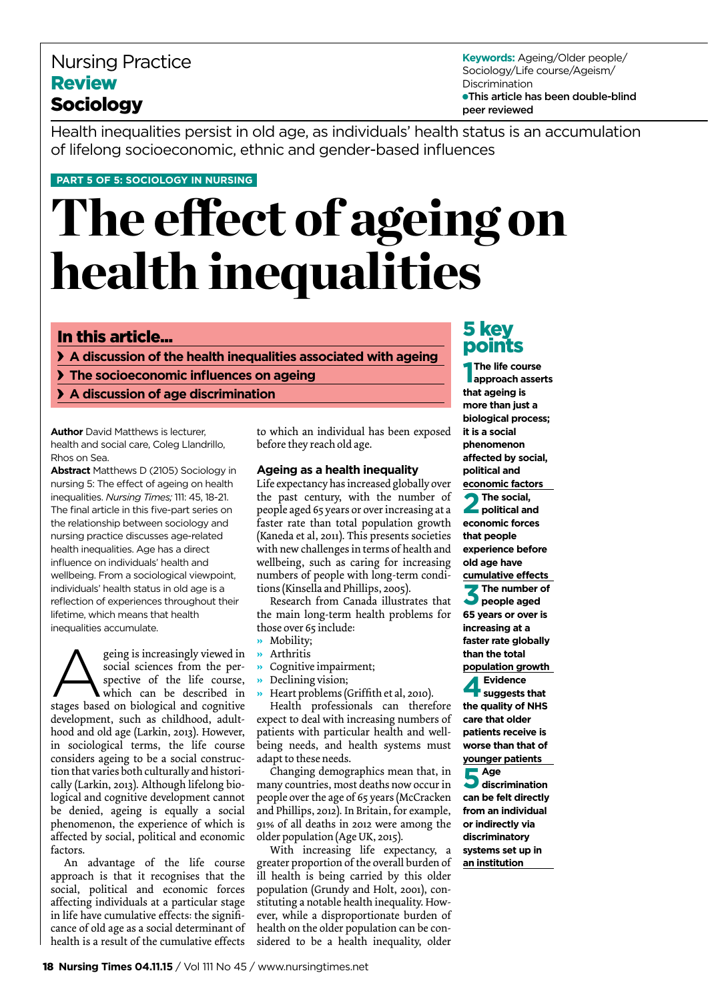# Nursing Practice Review Sociology

**Keywords:** Ageing/Older people/ Sociology/Life course/Ageism/ Discrimination ●This article has been double-blind peer reviewed

Health inequalities persist in old age, as individuals' health status is an accumulation of lifelong socioeconomic, ethnic and gender-based influences

#### **part 5 of 5: sociology in nursing**

# The effect of ageing on health inequalities

## In this article...

**A discussion of the health inequalities associated with ageing** 

- **The socioeconomic influences on ageing**
- **A discussion of age discrimination**

**Author** David Matthews is lecturer health and social care, Coleg Llandrillo, Rhos on Sea.

**Abstract** Matthews D (2105) Sociology in nursing 5: The effect of ageing on health inequalities. *Nursing Times;* 111: 45, 18-21. The final article in this five-part series on the relationship between sociology and nursing practice discusses age-related health inequalities. Age has a direct influence on individuals' health and wellbeing. From a sociological viewpoint, individuals' health status in old age is a reflection of experiences throughout their lifetime, which means that health inequalities accumulate.

Secing is increasingly viewed in<br>social sciences from the per-<br>spective of the life course,<br>which can be described in<br>stages based on biological and cognitive social sciences from the perspective of the life course, which can be described in stages based on biological and cognitive development, such as childhood, adulthood and old age (Larkin, 2013). However, in sociological terms, the life course considers ageing to be a social construction that varies both culturally and historically (Larkin, 2013). Although lifelong biological and cognitive development cannot be denied, ageing is equally a social phenomenon, the experience of which is affected by social, political and economic factors.

An advantage of the life course approach is that it recognises that the social, political and economic forces affecting individuals at a particular stage in life have cumulative effects: the significance of old age as a social determinant of health is a result of the cumulative effects

to which an individual has been exposed before they reach old age.

#### **Ageing as a health inequality**

Life expectancy has increased globally over the past century, with the number of people aged 65 years or over increasing at a faster rate than total population growth (Kaneda et al, 2011). This presents societies with new challenges in terms of health and wellbeing, such as caring for increasing numbers of people with long-term conditions (Kinsella and Phillips, 2005).

Research from Canada illustrates that the main long-term health problems for those over 65 include:

- **»** Mobility;
- **»** Arthritis
- **»** Cognitive impairment;
- **»** Declining vision;
- **»** Heart problems (Griffith et al, 2010).

Health professionals can therefore expect to deal with increasing numbers of patients with particular health and wellbeing needs, and health systems must adapt to these needs.

Changing demographics mean that, in many countries, most deaths now occur in people over the age of 65 years (McCracken and Phillips, 2012). In Britain, for example, 91% of all deaths in 2012 were among the older population (Age UK, 2015).

With increasing life expectancy, a greater proportion of the overall burden of ill health is being carried by this older population (Grundy and Holt, 2001), constituting a notable health inequality. However, while a disproportionate burden of health on the older population can be considered to be a health inequality, older

# 5 key points

**1 The life course approach asserts that ageing is more than just a biological process; it is a social phenomenon affected by social, political and economic factors 2The social, political and economic forces that people experience before old age have cumulative effects 3The number of people aged 65 years or over is increasing at a faster rate globally than the total population growth 4Evidence suggests that the quality of NHS care that older patients receive is worse than that of younger patients 5Age discrimination can be felt directly from an individual or indirectly via discriminatory systems set up in an institution**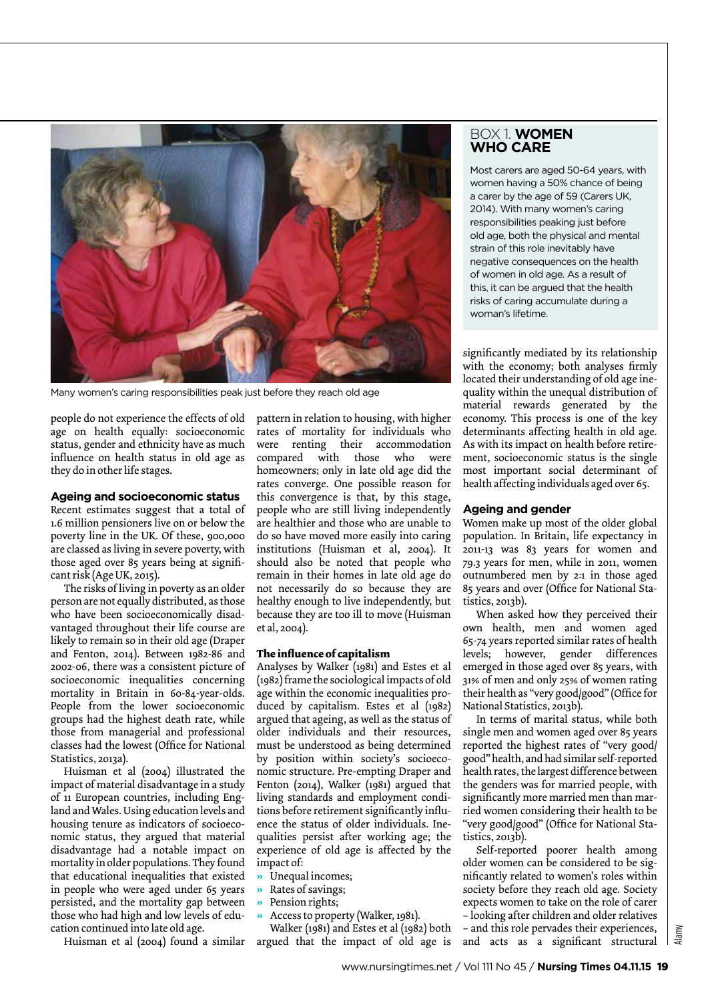

Many women's caring responsibilities peak just before they reach old age

people do not experience the effects of old age on health equally: socioeconomic status, gender and ethnicity have as much influence on health status in old age as they do in other life stages.

#### **Ageing and socioeconomic status**

Recent estimates suggest that a total of 1.6 million pensioners live on or below the poverty line in the UK. Of these, 900,000 are classed as living in severe poverty, with those aged over 85 years being at significant risk (Age UK, 2015).

The risks of living in poverty as an older person are not equally distributed, as those who have been socioeconomically disadvantaged throughout their life course are likely to remain so in their old age (Draper and Fenton, 2014). Between 1982-86 and 2002-06, there was a consistent picture of socioeconomic inequalities concerning mortality in Britain in 60-84-year-olds. People from the lower socioeconomic groups had the highest death rate, while those from managerial and professional classes had the lowest (Office for National Statistics, 2013a).

Huisman et al (2004) illustrated the impact of material disadvantage in a study of 11 European countries, including England and Wales. Using education levels and housing tenure as indicators of socioeconomic status, they argued that material disadvantage had a notable impact on mortality in older populations. They found that educational inequalities that existed in people who were aged under 65 years persisted, and the mortality gap between those who had high and low levels of education continued into late old age.

Huisman et al (2004) found a similar

pattern in relation to housing, with higher rates of mortality for individuals who were renting their accommodation compared with those who were homeowners; only in late old age did the rates converge. One possible reason for this convergence is that, by this stage, people who are still living independently are healthier and those who are unable to do so have moved more easily into caring institutions (Huisman et al, 2004). It should also be noted that people who remain in their homes in late old age do not necessarily do so because they are healthy enough to live independently, but because they are too ill to move (Huisman et al, 2004).

#### **The influence of capitalism**

Analyses by Walker (1981) and Estes et al (1982) frame the sociological impacts of old age within the economic inequalities produced by capitalism. Estes et al (1982) argued that ageing, as well as the status of older individuals and their resources, must be understood as being determined by position within society's socioeconomic structure. Pre-empting Draper and Fenton (2014), Walker (1981) argued that living standards and employment conditions before retirement significantly influence the status of older individuals. Inequalities persist after working age; the experience of old age is affected by the impact of:

- **»** Unequal incomes;
- **»** Rates of savings;
- **»** Pension rights;
- **»** Access to property (Walker, 1981).

Walker (1981) and Estes et al (1982) both argued that the impact of old age is

#### Box 1. **women who care**

Most carers are aged 50-64 years, with women having a 50% chance of being a carer by the age of 59 (Carers UK, 2014). With many women's caring responsibilities peaking just before old age, both the physical and mental strain of this role inevitably have negative consequences on the health of women in old age. As a result of this, it can be argued that the health risks of caring accumulate during a woman's lifetime.

significantly mediated by its relationship with the economy; both analyses firmly located their understanding of old age inequality within the unequal distribution of material rewards generated by the economy. This process is one of the key determinants affecting health in old age. As with its impact on health before retirement, socioeconomic status is the single most important social determinant of health affecting individuals aged over 65.

#### **Ageing and gender**

Women make up most of the older global population. In Britain, life expectancy in 2011-13 was 83 years for women and 79.3 years for men, while in 2011, women outnumbered men by 2:1 in those aged 85 years and over (Office for National Statistics, 2013b).

When asked how they perceived their own health, men and women aged 65-74 years reported similar rates of health levels; however, gender differences emerged in those aged over 85 years, with 31% of men and only 25% of women rating their health as "very good/good" (Office for National Statistics, 2013b).

In terms of marital status, while both single men and women aged over 85 years reported the highest rates of "very good/ good" health, and had similar self-reported health rates, the largest difference between the genders was for married people, with significantly more married men than married women considering their health to be "very good/good" (Office for National Statistics, 2013b).

Self-reported poorer health among older women can be considered to be significantly related to women's roles within society before they reach old age. Society expects women to take on the role of carer – looking after children and older relatives – and this role pervades their experiences, and acts as a significant structural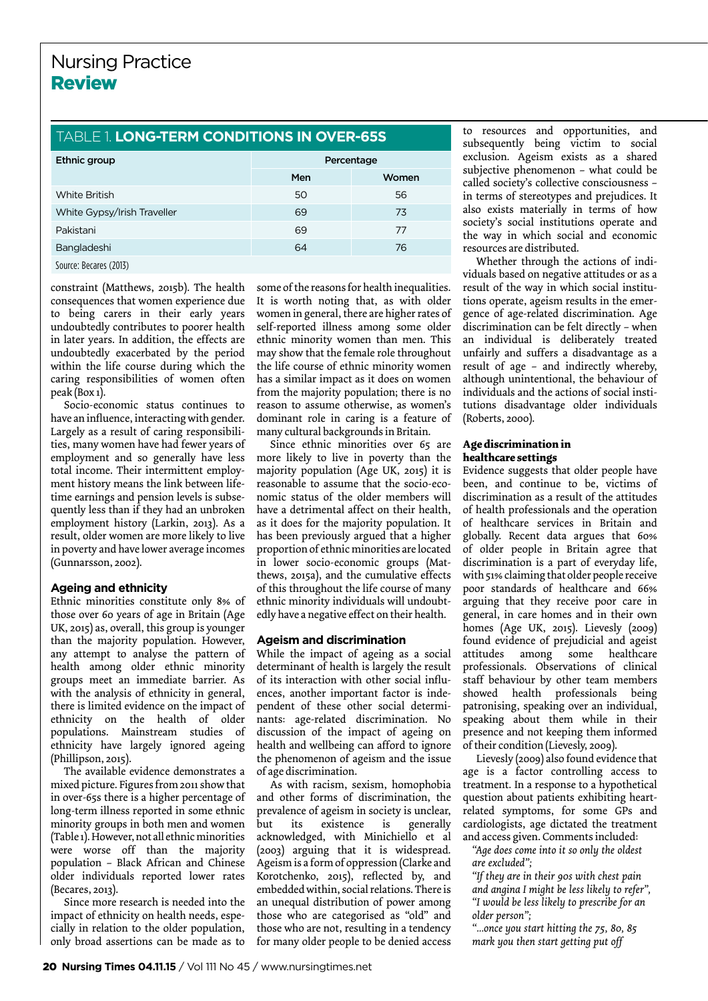# Table 1. **long-term conditions in over-65s**

| Ethnic group                | Percentage |       |
|-----------------------------|------------|-------|
|                             | Men        | Women |
| White British               | 50         | 56    |
| White Gypsy/Irish Traveller | 69         | 73    |
| Pakistani                   | 69         | 77    |
| Bangladeshi                 | 64         | 76    |
| Source: Becares (2013)      |            |       |

constraint (Matthews, 2015b). The health consequences that women experience due to being carers in their early years undoubtedly contributes to poorer health in later years. In addition, the effects are undoubtedly exacerbated by the period within the life course during which the caring responsibilities of women often peak (Box 1).

Socio-economic status continues to have an influence, interacting with gender. Largely as a result of caring responsibilities, many women have had fewer years of employment and so generally have less total income. Their intermittent employment history means the link between lifetime earnings and pension levels is subsequently less than if they had an unbroken employment history (Larkin, 2013). As a result, older women are more likely to live in poverty and have lower average incomes (Gunnarsson, 2002).

### **Ageing and ethnicity**

Ethnic minorities constitute only 8% of those over 60 years of age in Britain (Age UK, 2015) as, overall, this group is younger than the majority population. However, any attempt to analyse the pattern of health among older ethnic minority groups meet an immediate barrier. As with the analysis of ethnicity in general, there is limited evidence on the impact of ethnicity on the health of older populations. Mainstream studies of ethnicity have largely ignored ageing (Phillipson, 2015).

The available evidence demonstrates a mixed picture. Figures from 2011 show that in over-65s there is a higher percentage of long-term illness reported in some ethnic minority groups in both men and women (Table 1). However, not all ethnic minorities were worse off than the majority population – Black African and Chinese older individuals reported lower rates (Becares, 2013).

Since more research is needed into the impact of ethnicity on health needs, especially in relation to the older population, only broad assertions can be made as to

some of the reasons for health inequalities. It is worth noting that, as with older women in general, there are higher rates of self-reported illness among some older ethnic minority women than men. This may show that the female role throughout the life course of ethnic minority women has a similar impact as it does on women from the majority population; there is no reason to assume otherwise, as women's dominant role in caring is a feature of many cultural backgrounds in Britain.

Since ethnic minorities over 65 are more likely to live in poverty than the majority population (Age UK, 2015) it is reasonable to assume that the socio-economic status of the older members will have a detrimental affect on their health, as it does for the majority population. It has been previously argued that a higher proportion of ethnic minorities are located in lower socio-economic groups (Matthews, 2015a), and the cumulative effects of this throughout the life course of many ethnic minority individuals will undoubtedly have a negative effect on their health.

#### **Ageism and discrimination**

While the impact of ageing as a social determinant of health is largely the result of its interaction with other social influences, another important factor is independent of these other social determinants: age-related discrimination. No discussion of the impact of ageing on health and wellbeing can afford to ignore the phenomenon of ageism and the issue of age discrimination.

As with racism, sexism, homophobia and other forms of discrimination, the prevalence of ageism in society is unclear, but its existence is generally acknowledged, with Minichiello et al (2003) arguing that it is widespread. Ageism is a form of oppression (Clarke and Korotchenko, 2015), reflected by, and embedded within, social relations. There is an unequal distribution of power among those who are categorised as "old" and those who are not, resulting in a tendency for many older people to be denied access

to resources and opportunities, and subsequently being victim to social exclusion. Ageism exists as a shared subjective phenomenon – what could be called society's collective consciousness – in terms of stereotypes and prejudices. It also exists materially in terms of how society's social institutions operate and the way in which social and economic resources are distributed.

Whether through the actions of individuals based on negative attitudes or as a result of the way in which social institutions operate, ageism results in the emergence of age-related discrimination. Age discrimination can be felt directly – when an individual is deliberately treated unfairly and suffers a disadvantage as a result of age – and indirectly whereby, although unintentional, the behaviour of individuals and the actions of social institutions disadvantage older individuals (Roberts, 2000).

#### **Age discrimination in healthcare settings**

Evidence suggests that older people have been, and continue to be, victims of discrimination as a result of the attitudes of health professionals and the operation of healthcare services in Britain and globally. Recent data argues that 60% of older people in Britain agree that discrimination is a part of everyday life, with 51% claiming that older people receive poor standards of healthcare and 66% arguing that they receive poor care in general, in care homes and in their own homes (Age UK, 2015). Lievesly (2009) found evidence of prejudicial and ageist attitudes among some healthcare professionals. Observations of clinical staff behaviour by other team members showed health professionals being patronising, speaking over an individual, speaking about them while in their presence and not keeping them informed of their condition (Lievesly, 2009).

Lievesly (2009) also found evidence that age is a factor controlling access to treatment. In a response to a hypothetical question about patients exhibiting heartrelated symptoms, for some GPs and cardiologists, age dictated the treatment and access given. Comments included:

*"Age does come into it so only the oldest are excluded";*

*"If they are in their 90s with chest pain and angina I might be less likely to refer", "I would be less likely to prescribe for an older person";*

*"...once you start hitting the 75, 80, 85 mark you then start getting put off*